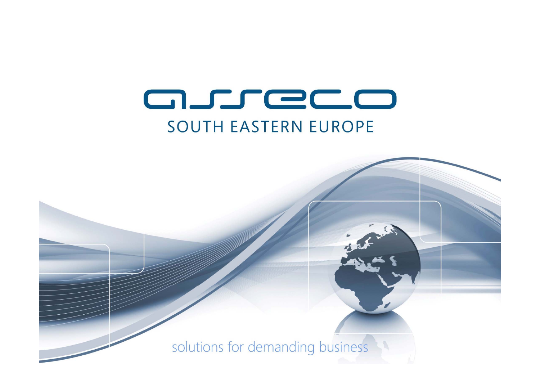# asreco **SOUTH EASTERN EUROPE**

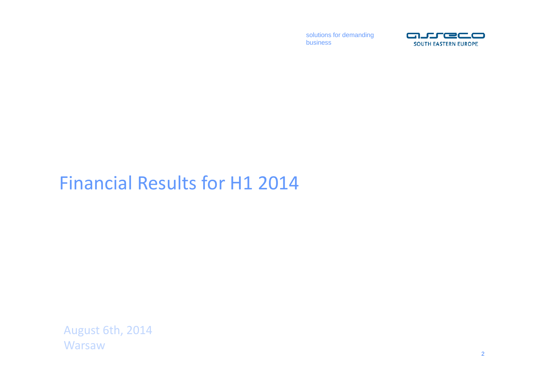

## Financial Results for H1 2014

August 6th, 2014 **Warsaw**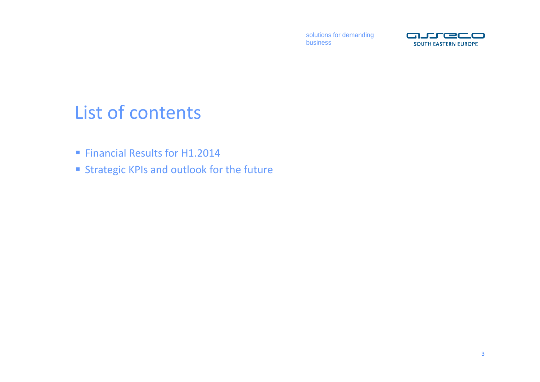

## List of contents

- **Financial Results for H1.2014**
- **Strategic KPIs and outlook for the future**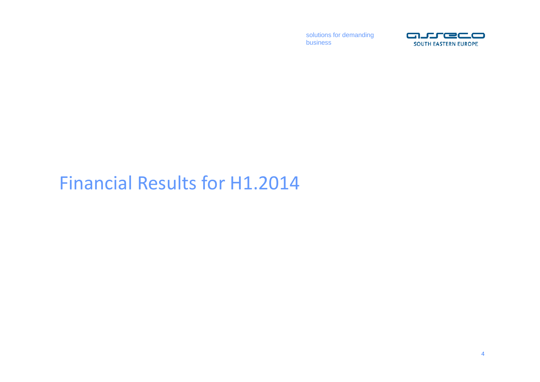

## Financial Results for H1.2014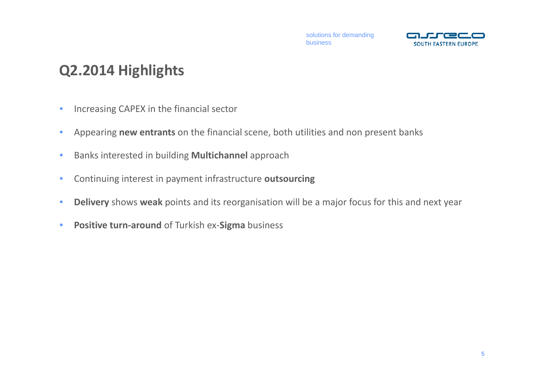

### **Q2.2014 Highlights**

- $\bullet$ Increasing CAPEX in the financial sector
- •Appearing **new entrants** on the financial scene, both utilities and non present banks
- •Banks interested in building **Multichannel** approach
- •Continuing interest in payment infrastructure **outsourcing**
- •**Delivery** shows **weak** points and its reorganisation will be <sup>a</sup> major focus for this and next year
- •**Positive turn‐around** of Turkish ex‐**Sigma** business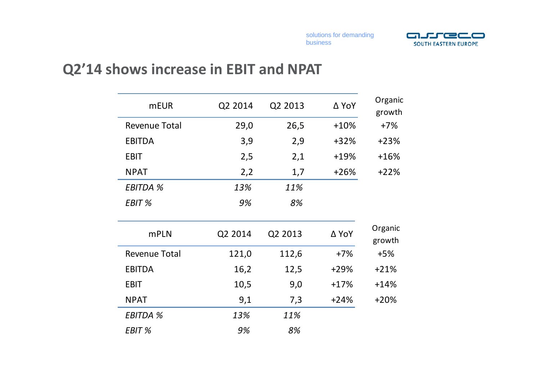

### **Q2'14 shows increase in EBIT and NPAT**

| <b>mEUR</b>          | Q2 2014 | Q2 2013 | ∆ YoY  | Organic<br>growth |
|----------------------|---------|---------|--------|-------------------|
| Revenue Total        | 29,0    | 26,5    | $+10%$ | $+7%$             |
| <b>EBITDA</b>        | 3,9     | 2,9     | $+32%$ | $+23%$            |
| <b>EBIT</b>          | 2,5     | 2,1     | $+19%$ | $+16%$            |
| <b>NPAT</b>          | 2,2     | 1,7     | $+26%$ | $+22%$            |
| <b>EBITDA %</b>      | 13%     | 11%     |        |                   |
| EBIT %               | 9%      | 8%      |        |                   |
| <b>mPLN</b>          | Q2 2014 | Q2 2013 | ∆ YoY  | Organic<br>growth |
| <b>Revenue Total</b> | 121,0   | 112,6   | $+7%$  | $+5%$             |
| <b>EBITDA</b>        | 16,2    | 12,5    | $+29%$ | $+21%$            |
| <b>EBIT</b>          | 10,5    | 9,0     | $+17%$ | $+14%$            |
| <b>NPAT</b>          | 9,1     | 7,3     | $+24%$ | $+20%$            |
| <b>EBITDA %</b>      | 13%     | 11%     |        |                   |
| EBIT %               | 9%      | 8%      |        |                   |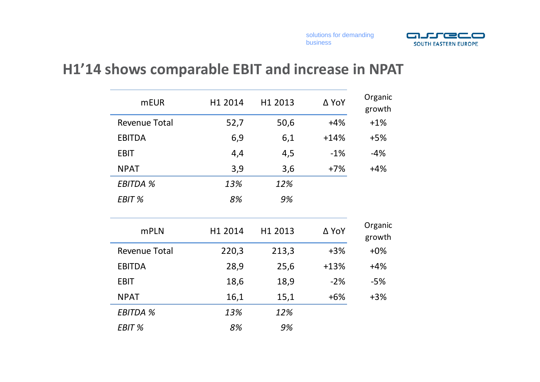

#### **H1'14 shows comparable EBIT and increase in NPAT**

| <b>mEUR</b>          | H1 2014 | H1 2013 | ∆ YoY  | Organic<br>growth |
|----------------------|---------|---------|--------|-------------------|
| <b>Revenue Total</b> | 52,7    | 50,6    | $+4%$  | $+1\%$            |
| <b>EBITDA</b>        | 6,9     | 6,1     | $+14%$ | $+5%$             |
| <b>EBIT</b>          | 4,4     | 4,5     | $-1\%$ | $-4%$             |
| <b>NPAT</b>          | 3,9     | 3,6     | $+7%$  | $+4%$             |
| <b>EBITDA %</b>      | 13%     | 12%     |        |                   |
| EBIT %               | 8%      | 9%      |        |                   |
| <b>mPLN</b>          | H1 2014 | H1 2013 | ∆ YoY  | Organic<br>growth |
| <b>Revenue Total</b> | 220,3   | 213,3   | $+3%$  | $+0\%$            |
| <b>EBITDA</b>        | 28,9    | 25,6    | $+13%$ | $+4%$             |
| <b>EBIT</b>          | 18,6    | 18,9    | $-2%$  | -5%               |
| <b>NPAT</b>          | 16,1    | 15,1    | $+6%$  | $+3%$             |
| <b>EBITDA %</b>      | 13%     | 12%     |        |                   |
| EBIT %               | 8%      | 9%      |        |                   |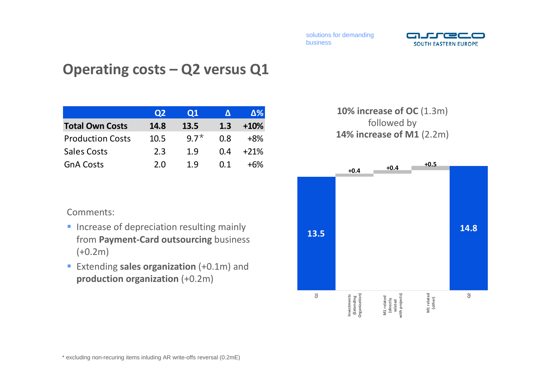

### **Operating costs – Q2 versus Q1**

|                         | Q2   | Ο1     |      | Δ%     |
|-------------------------|------|--------|------|--------|
| <b>Total Own Costs</b>  | 14.8 | 13.5   | 1.3  | $+10%$ |
| <b>Production Costs</b> | 10.5 | $9.7*$ | በ ጸ  | $+8%$  |
| <b>Sales Costs</b>      | 2.3  | 1.9    | 0.4  | $+21%$ |
| <b>GnA Costs</b>        | 2 O  | 1 Q    | (11) | +6%    |

#### Comments:

- **Increase of depreciation resulting mainly** from **Payment‐Card outsourcing** business  $(+0.2m)$
- Extending **sales organization** (+0.1m) and **production organization** (+0.2m)

#### **10% increase of OC** (1.3m) followed by **14% increase of M1** (2.2m)

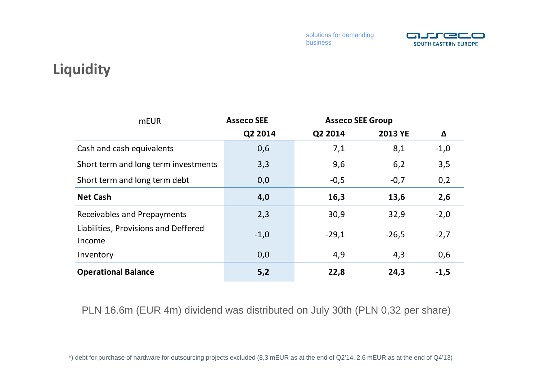

### **Liquidity**

| <b>mEUR</b>                                    | <b>Asseco SEE</b> | <b>Asseco SEE Group</b> |                |        |
|------------------------------------------------|-------------------|-------------------------|----------------|--------|
|                                                | Q2 2014           | Q2 2014                 | <b>2013 YE</b> | Δ      |
| Cash and cash equivalents                      | 0,6               | 7,1                     | 8,1            | $-1,0$ |
| Short term and long term investments           | 3,3               | 9,6                     | 6,2            | 3,5    |
| Short term and long term debt                  | 0,0               | $-0,5$                  | $-0,7$         | 0,2    |
| <b>Net Cash</b>                                | 4,0               | 16,3                    | 13,6           | 2,6    |
| Receivables and Prepayments                    | 2,3               | 30,9                    | 32,9           | $-2,0$ |
| Liabilities, Provisions and Deffered<br>Income | $-1,0$            | $-29,1$                 | $-26,5$        | $-2,7$ |
| Inventory                                      | 0,0               | 4,9                     | 4,3            | 0,6    |
| <b>Operational Balance</b>                     | 5,2               | 22,8                    | 24,3           | $-1,5$ |

PLN 16.6m (EUR 4m) dividend was distributed on July 30th (PLN 0,32 per share)

\*) debt for purchase of hardware for outsourcing projects excluded (8,3 mEUR as at the end of Q2'14, 2,6 mEUR as at the end of Q4'13)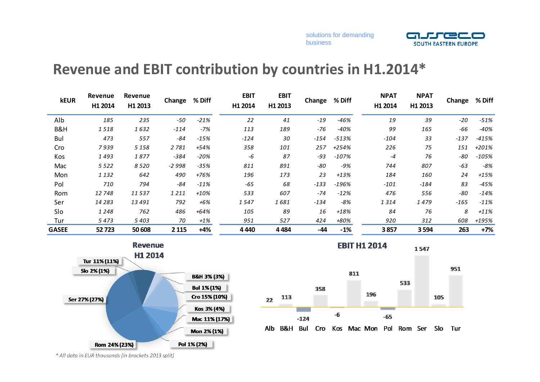

#### **Revenue and EBIT contribution by countries in H1.2014\***

| <b>kEUR</b>  | Revenue<br>H1 2014 | Revenue<br>H1 2013 | Change  | % Diff | <b>EBIT</b><br>H1 2014 | <b>EBIT</b><br>H1 2013 | Change | % Diff  | <b>NPAT</b><br>H1 2014 | <b>NPAT</b><br>H1 2013 | Change | % Diff  |
|--------------|--------------------|--------------------|---------|--------|------------------------|------------------------|--------|---------|------------------------|------------------------|--------|---------|
| Alb          | 185                | 235                | $-50$   | $-21%$ | 22                     | 41                     | $-19$  | $-46%$  | 19                     | 39                     | $-20$  | $-51%$  |
| B&H          | 1518               | 1632               | $-114$  | $-7%$  | 113                    | 189                    | -76    | $-40%$  | 99                     | 165                    | -66    | $-40%$  |
| Bul          | 473                | 557                | $-84$   | $-15%$ | $-124$                 | 30                     | $-154$ | $-513%$ | $-104$                 | 33                     | $-137$ | $-415%$ |
| Cro          | 7939               | 5 1 5 8            | 2 7 8 1 | $+54%$ | 358                    | 101                    | 257    | +254%   | 226                    | 75                     | 151    | +201%   |
| Kos          | 1493               | 1877               | $-384$  | $-20%$ | -6                     | 87                     | $-93$  | $-107%$ | -4                     | 76                     | -80    | $-105%$ |
| Mac          | 5 5 2 2            | 8 5 2 0            | $-2998$ | $-35%$ | 811                    | 891                    | $-80$  | -9%     | 744                    | 807                    | $-63$  | $-8%$   |
| Mon          | 1 1 3 2            | 642                | 490     | +76%   | 196                    | 173                    | 23     | $+13%$  | 184                    | 160                    | 24     | $+15%$  |
| Pol          | 710                | 794                | $-84$   | $-11%$ | $-65$                  | 68                     | $-133$ | $-196%$ | $-101$                 | $-184$                 | 83     | $-45%$  |
| Rom          | 12748              | 11537              | 1211    | $+10%$ | 533                    | 607                    | $-74$  | $-12%$  | 476                    | 556                    | -80    | $-14%$  |
| Ser          | 14 283             | 13 491             | 792     | +6%    | 1547                   | 1681                   | $-134$ | -8%     | 1314                   | 1479                   | $-165$ | $-11%$  |
| Slo          | 1 2 4 8            | 762                | 486     | $+64%$ | 105                    | 89                     | 16     | $+18%$  | 84                     | 76                     | 8      | $+11%$  |
| Tur          | 5473               | 5 4 0 3            | 70      | $+1\%$ | 951                    | 527                    | 424    | +80%    | 920                    | 312                    | 608    | +195%   |
| <b>GASEE</b> | 52723              | 50 608             | 2 1 1 5 | $+4%$  | 4 4 4 0                | 4484                   | $-44$  | $-1%$   | 3857                   | 3594                   | 263    | $+7%$   |





Alb B&H Bul Cro Kos Mac Mon Pol Rom Ser Slo Tur

*\* All data in EUR thousands [in brackets 2013 split]*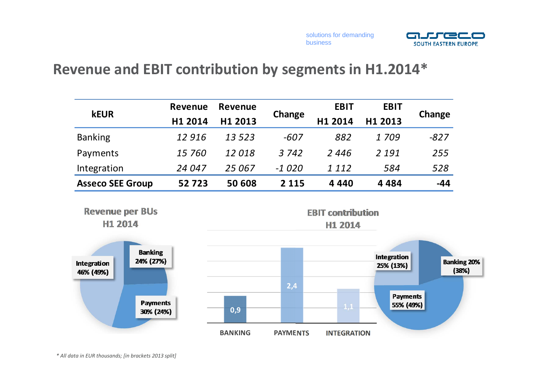



#### **Revenue and EBIT contribution by segments in H1.2014\***

| <b>kEUR</b>             | Revenue | Revenue |         | <b>EBIT</b> | <b>EBIT</b> |        |
|-------------------------|---------|---------|---------|-------------|-------------|--------|
|                         | H1 2014 | H1 2013 | Change  | H1 2014     | H1 2013     | Change |
| <b>Banking</b>          | 12916   | 13 5 23 | $-607$  | 882         | 1709        | $-827$ |
| Payments                | 15 760  | 12018   | 3 7 4 2 | 2446        | 2 1 9 1     | 255    |
| Integration             | 24 047  | 25 067  | $-1020$ | 1 1 1 2     | 584         | 528    |
| <b>Asseco SEE Group</b> | 52723   | 50 608  | 2 1 1 5 | 4 4 4 0     | 4 4 8 4     | $-44$  |

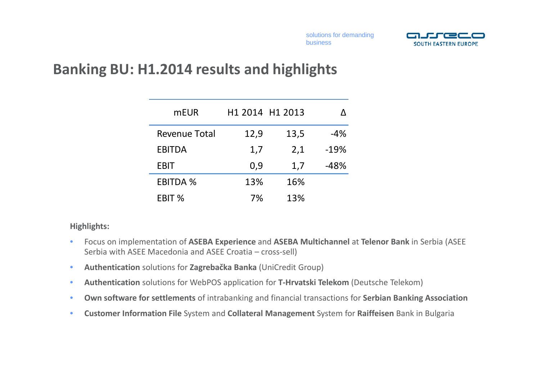

### **Banking BU: H1.2014 results and highlights**

| <b>mEUR</b>          |      | H1 2014 H1 2013 | Λ      |
|----------------------|------|-----------------|--------|
| <b>Revenue Total</b> | 12,9 | 13,5            | $-4%$  |
| <b>EBITDA</b>        | 1,7  | 2,1             | $-19%$ |
| <b>EBIT</b>          | 0,9  | 1,7             | -48%   |
| <b>EBITDA %</b>      | 13%  | 16%             |        |
| EBIT %               | 7%   | 13%             |        |

#### **Highlights:**

- $\bullet$  Focus on implementation of **ASEBA Experience** and **ASEBA Multichannel** at **Telenor Bank** in Serbia (ASEE Serbia with ASEE Macedonia and ASEE Croatia – cross‐sell)
- •**Authentication** solutions for **Zagrebačka Banka** (UniCredit Group)
- $\bullet$ **Authentication** solutions for WebPOS application for **T‐Hrvatski Telekom** (Deutsche Telekom)
- $\bullet$ **Own software for settlements** of intrabanking and financial transactions for **Serbian Banking Association**
- $\bullet$ **Customer Information File** System and **Collateral Management** System for **Raiffeisen** Bank in Bulgaria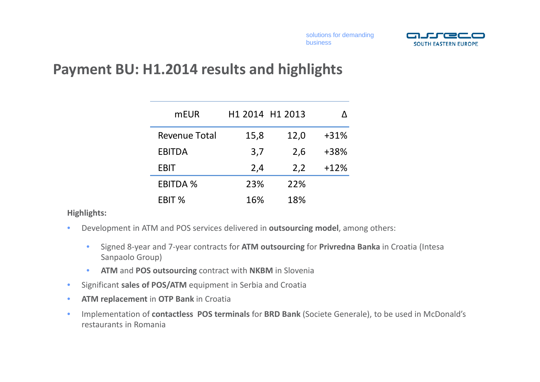

#### **Payment BU: H1.2014 results and highlights**

| <b>mEUR</b>          | H1 2014 H1 2013 |      |        |
|----------------------|-----------------|------|--------|
| <b>Revenue Total</b> | 15,8            | 12,0 | $+31%$ |
| <b>EBITDA</b>        | 3,7             | 2,6  | +38%   |
| EBIT                 | 2,4             | 2,2  | $+12%$ |
| <b>EBITDA %</b>      | 23%             | 22%  |        |
| EBIT %               | 16%             | 18%  |        |

#### **Highlights:**

- $\bullet$  Development in ATM and POS services delivered in **outsourcing model**, among others:
	- • Signed 8‐year and 7‐year contracts for **ATM outsourcing** for **Privredna Banka** in Croatia (Intesa Sanpaolo Group)
	- $\bullet$ **ATM** and **POS outsourcing** contract with **NKBM** in Slovenia
- $\bullet$ Significant **sales of POS/ATM** equipment in Serbia and Croatia
- $\bullet$ **ATM replacement** in **OTP Bank** in Croatia
- $\bullet$  Implementation of **contactless POS terminals** for **BRD Bank** (Societe Generale), to be used in McDonald's restaurants in Romania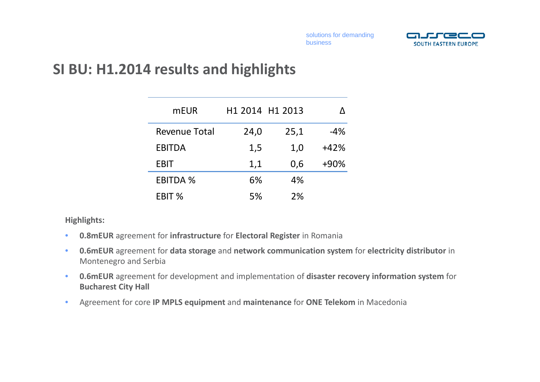

#### **SI BU: H1.2014 results and highlights**

| <b>mEUR</b>          |      | H1 2014 H1 2013 |        |
|----------------------|------|-----------------|--------|
| <b>Revenue Total</b> | 24,0 | 25,1            | $-4%$  |
| <b>EBITDA</b>        | 1,5  | 1,0             | $+42%$ |
| <b>EBIT</b>          | 1,1  | 0,6             | $+90%$ |
| <b>EBITDA %</b>      | 6%   | 4%              |        |
| EBIT %               | 5%   | 2%              |        |

#### **Highlights:**

- $\bullet$ **0.8mEUR** agreement for **infrastructure** for **Electoral Register** in Romania
- $\bullet$  **0.6mEUR** agreement for **data storage** and **network communication system** for **electricity distributor** in Montenegro and Serbia
- $\bullet$  **0.6mEUR** agreement for development and implementation of **disaster recovery information system** for **Bucharest City Hall**
- •Agreement for core **IP MPLS equipment** and **maintenance** for **ONE Telekom** in Macedonia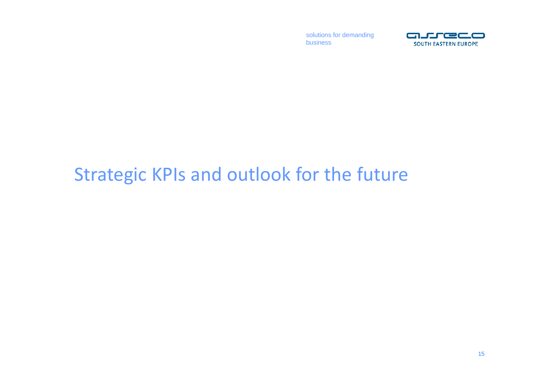

## Strategic KPIs and outlook for the future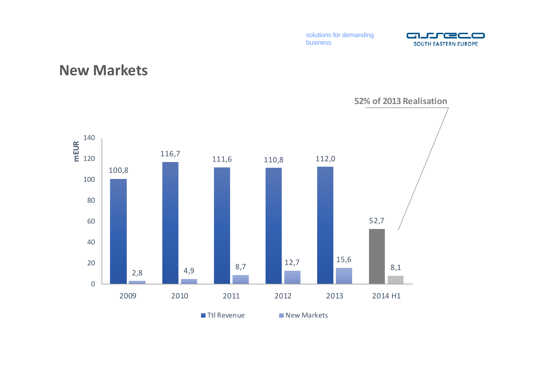

#### **New Markets**

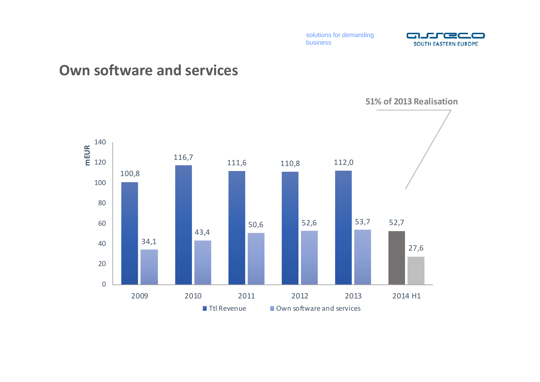

#### **Own software and services**

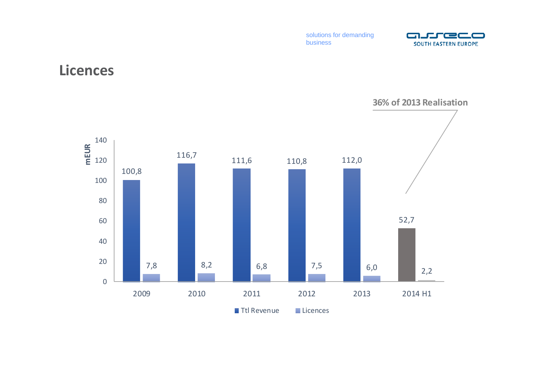

#### **Licences**

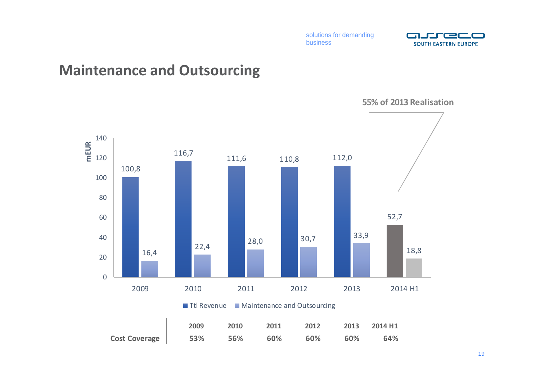

#### **Maintenance and Outsourcing**



Ttl Revenue **Maintenance and Outsourcing** 

|               | 2009 | 2010 | 2011 | 2012 | 2013 | 2014 H1 |  |
|---------------|------|------|------|------|------|---------|--|
| Cost Coverage | 53%  | 56%  | 60%  | 60%  | 60%  | 64%     |  |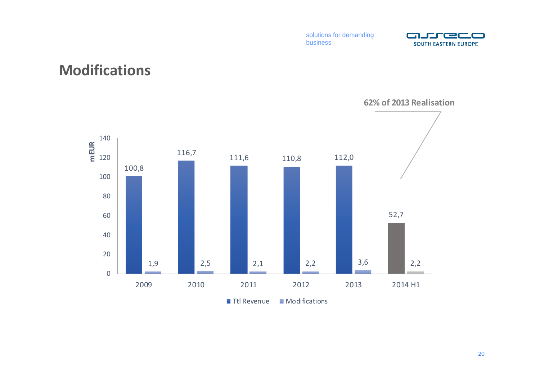

#### **Modifications**

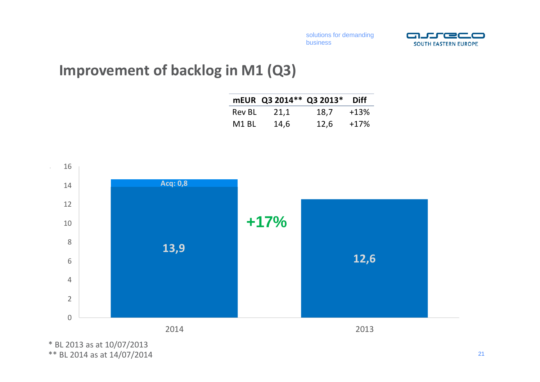

### **Improvement of backlog in M1 (Q3)**

|               | mEUR Q3 2014** Q3 2013* |      | <b>Diff</b> |
|---------------|-------------------------|------|-------------|
| <b>Rev BL</b> | 21,1                    | 18,7 | $+13%$      |
| M1 BL         | 14,6                    | 12,6 | $+17%$      |



\* BL 2013 as at 10/07/2013 \*\* BL 2014 as at 14/07/2014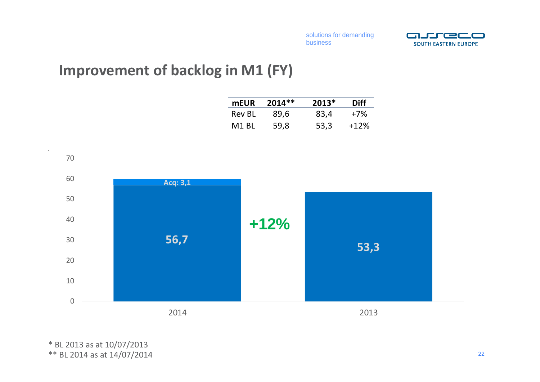

### **Improvement of backlog in M1 (FY)**

| mEUR          | $2014**$ | $2013*$ | <b>Diff</b> |
|---------------|----------|---------|-------------|
| <b>Rev BL</b> | 89,6     | 83,4    | $+7\%$      |
| M1 BL         | 59,8     | 53,3    | $+12%$      |



\* BL 2013 as at 10/07/2013 \*\* BL 2014 as at 14/07/2014